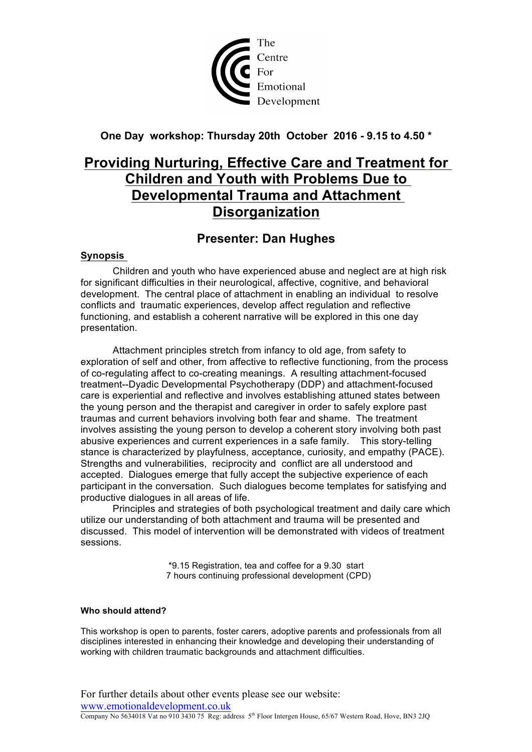

### **One Day workshop: Thursday 20th October 2016 - 9.15 to 4.50 \***

# **Providing Nurturing, Effective Care and Treatment for Children and Youth with Problems Due to Developmental Trauma and Attachment Disorganization**

## **Presenter: Dan Hughes**

### **Synopsis**

Children and youth who have experienced abuse and neglect are at high risk for significant difficulties in their neurological, affective, cognitive, and behavioral development. The central place of attachment in enabling an individual to resolve conflicts and traumatic experiences, develop affect regulation and reflective functioning, and establish a coherent narrative will be explored in this one day presentation.

Attachment principles stretch from infancy to old age, from safety to exploration of self and other, from affective to reflective functioning, from the process of co-regulating affect to co-creating meanings. A resulting attachment-focused treatment--Dyadic Developmental Psychotherapy (DDP) and attachment-focused care is experiential and reflective and involves establishing attuned states between the young person and the therapist and caregiver in order to safely explore past traumas and current behaviors involving both fear and shame. The treatment involves assisting the young person to develop a coherent story involving both past abusive experiences and current experiences in a safe family. This story-telling stance is characterized by playfulness, acceptance, curiosity, and empathy (PACE). Strengths and vulnerabilities, reciprocity and conflict are all understood and accepted. Dialogues emerge that fully accept the subjective experience of each participant in the conversation. Such dialogues become templates for satisfying and productive dialogues in all areas of life.

Principles and strategies of both psychological treatment and daily care which utilize our understanding of both attachment and trauma will be presented and discussed. This model of intervention will be demonstrated with videos of treatment sessions.

> \*9.15 Registration, tea and coffee for a 9.30 start 7 hours continuing professional development (CPD)

#### **Who should attend?**

This workshop is open to parents, foster carers, adoptive parents and professionals from all disciplines interested in enhancing their knowledge and developing their understanding of working with children traumatic backgrounds and attachment difficulties.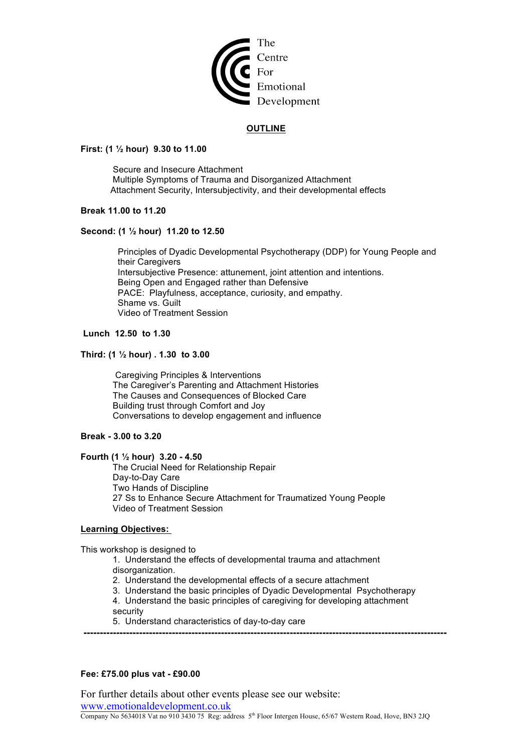

#### **OUTLINE**

#### **First: (1 ½ hour) 9.30 to 11.00**

 Secure and Insecure Attachment Multiple Symptoms of Trauma and Disorganized Attachment Attachment Security, Intersubjectivity, and their developmental effects

#### **Break 11.00 to 11.20**

#### **Second: (1 ½ hour) 11.20 to 12.50**

 Principles of Dyadic Developmental Psychotherapy (DDP) for Young People and their Caregivers Intersubjective Presence: attunement, joint attention and intentions. Being Open and Engaged rather than Defensive PACE: Playfulness, acceptance, curiosity, and empathy. Shame vs. Guilt Video of Treatment Session

#### **Lunch 12.50 to 1.30**

#### **Third: (1 ½ hour) . 1.30 to 3.00**

Caregiving Principles & Interventions The Caregiver's Parenting and Attachment Histories The Causes and Consequences of Blocked Care Building trust through Comfort and Joy Conversations to develop engagement and influence

#### **Break - 3.00 to 3.20**

#### **Fourth (1 ½ hour) 3.20 - 4.50**

The Crucial Need for Relationship Repair Day-to-Day Care Two Hands of Discipline 27 Ss to Enhance Secure Attachment for Traumatized Young People Video of Treatment Session

#### **Learning Objectives:**

This workshop is designed to

1. Understand the effects of developmental trauma and attachment disorganization.

- 2. Understand the developmental effects of a secure attachment
- 3. Understand the basic principles of Dyadic Developmental Psychotherapy
- 4. Understand the basic principles of caregiving for developing attachment security

**---------------------------------------------------------------------------------------------------------------**

5. Understand characteristics of day-to-day care

#### **Fee: £75.00 plus vat - £90.00**

For further details about other events please see our website: www.emotionaldevelopment.co.uk Company No 5634018 Vat no 910 3430 75 Reg: address 5th Floor Intergen House, 65/67 Western Road, Hove, BN3 2JQ